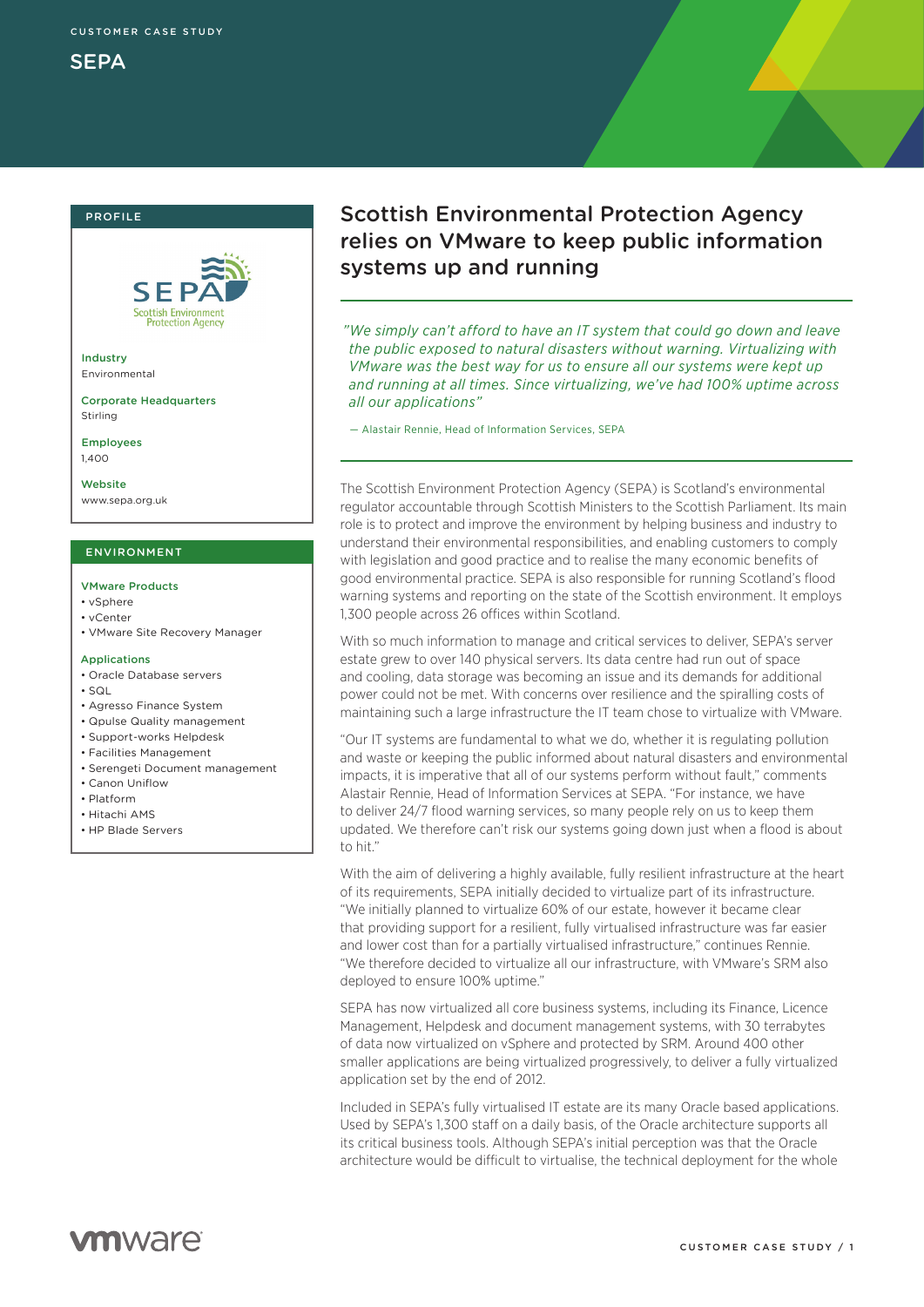## PROFILE



Industry Environmental

Corporate Headquarters Stirling

Employees 1,400

Website www.sepa.org.uk

### ENVIRONMENT

#### VMware Products

- vSphere
- vCenter
- VMware Site Recovery Manager

#### **Applications**

- Oracle Database servers
- $\cdot$  SQL
- Agresso Finance System
- Qpulse Quality management
- Support-works Helpdesk
- Facilities Management
- Serengeti Document management
- Canon Uniflow
- Platform
- Hitachi AMS
- HP Blade Servers

# Scottish Environmental Protection Agency relies on VMware to keep public information systems up and running

*"We simply can't afford to have an IT system that could go down and leave the public exposed to natural disasters without warning. Virtualizing with VMware was the best way for us to ensure all our systems were kept up and running at all times. Since virtualizing, we've had 100% uptime across all our applications"* 

— Alastair Rennie, Head of Information Services, SEPA

The Scottish Environment Protection Agency (SEPA) is Scotland's environmental regulator accountable through Scottish Ministers to the Scottish Parliament. Its main role is to protect and improve the environment by helping business and industry to understand their environmental responsibilities, and enabling customers to comply with legislation and good practice and to realise the many economic benefits of good environmental practice. SEPA is also responsible for running Scotland's flood warning systems and reporting on the state of the Scottish environment. It employs 1,300 people across 26 offices within Scotland.

With so much information to manage and critical services to deliver, SEPA's server estate grew to over 140 physical servers. Its data centre had run out of space and cooling, data storage was becoming an issue and its demands for additional power could not be met. With concerns over resilience and the spiralling costs of maintaining such a large infrastructure the IT team chose to virtualize with VMware.

"Our IT systems are fundamental to what we do, whether it is regulating pollution and waste or keeping the public informed about natural disasters and environmental impacts, it is imperative that all of our systems perform without fault," comments Alastair Rennie, Head of Information Services at SEPA. "For instance, we have to deliver 24/7 flood warning services, so many people rely on us to keep them updated. We therefore can't risk our systems going down just when a flood is about to hit."

With the aim of delivering a highly available, fully resilient infrastructure at the heart of its requirements, SEPA initially decided to virtualize part of its infrastructure. "We initially planned to virtualize 60% of our estate, however it became clear that providing support for a resilient, fully virtualised infrastructure was far easier and lower cost than for a partially virtualised infrastructure," continues Rennie. "We therefore decided to virtualize all our infrastructure, with VMware's SRM also deployed to ensure 100% uptime."

SEPA has now virtualized all core business systems, including its Finance, Licence Management, Helpdesk and document management systems, with 30 terrabytes of data now virtualized on vSphere and protected by SRM. Around 400 other smaller applications are being virtualized progressively, to deliver a fully virtualized application set by the end of 2012.

Included in SEPA's fully virtualised IT estate are its many Oracle based applications. Used by SEPA's 1,300 staff on a daily basis, of the Oracle architecture supports all its critical business tools. Although SEPA's initial perception was that the Oracle architecture would be difficult to virtualise, the technical deployment for the whole